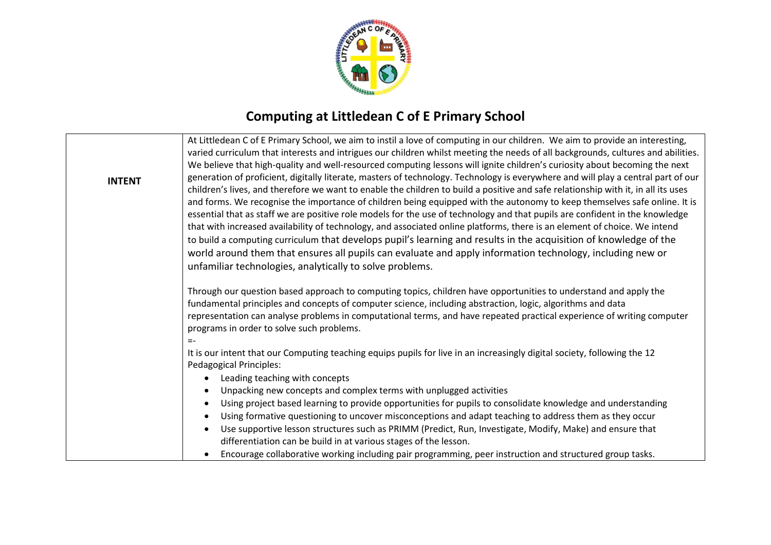

## **Computing at Littledean C of E Primary School**

| <b>INTENT</b> | At Littledean C of E Primary School, we aim to instil a love of computing in our children. We aim to provide an interesting,<br>varied curriculum that interests and intrigues our children whilst meeting the needs of all backgrounds, cultures and abilities.<br>We believe that high-quality and well-resourced computing lessons will ignite children's curiosity about becoming the next<br>generation of proficient, digitally literate, masters of technology. Technology is everywhere and will play a central part of our<br>children's lives, and therefore we want to enable the children to build a positive and safe relationship with it, in all its uses<br>and forms. We recognise the importance of children being equipped with the autonomy to keep themselves safe online. It is<br>essential that as staff we are positive role models for the use of technology and that pupils are confident in the knowledge<br>that with increased availability of technology, and associated online platforms, there is an element of choice. We intend<br>to build a computing curriculum that develops pupil's learning and results in the acquisition of knowledge of the<br>world around them that ensures all pupils can evaluate and apply information technology, including new or<br>unfamiliar technologies, analytically to solve problems. |
|---------------|------------------------------------------------------------------------------------------------------------------------------------------------------------------------------------------------------------------------------------------------------------------------------------------------------------------------------------------------------------------------------------------------------------------------------------------------------------------------------------------------------------------------------------------------------------------------------------------------------------------------------------------------------------------------------------------------------------------------------------------------------------------------------------------------------------------------------------------------------------------------------------------------------------------------------------------------------------------------------------------------------------------------------------------------------------------------------------------------------------------------------------------------------------------------------------------------------------------------------------------------------------------------------------------------------------------------------------------------------------------|
|               | Through our question based approach to computing topics, children have opportunities to understand and apply the<br>fundamental principles and concepts of computer science, including abstraction, logic, algorithms and data<br>representation can analyse problems in computational terms, and have repeated practical experience of writing computer<br>programs in order to solve such problems.<br>Ξ-                                                                                                                                                                                                                                                                                                                                                                                                                                                                                                                                                                                                                                                                                                                                                                                                                                                                                                                                                      |
|               | It is our intent that our Computing teaching equips pupils for live in an increasingly digital society, following the 12<br>Pedagogical Principles:                                                                                                                                                                                                                                                                                                                                                                                                                                                                                                                                                                                                                                                                                                                                                                                                                                                                                                                                                                                                                                                                                                                                                                                                              |
|               | Leading teaching with concepts<br>$\bullet$                                                                                                                                                                                                                                                                                                                                                                                                                                                                                                                                                                                                                                                                                                                                                                                                                                                                                                                                                                                                                                                                                                                                                                                                                                                                                                                      |
|               | Unpacking new concepts and complex terms with unplugged activities<br>Using project based learning to provide opportunities for pupils to consolidate knowledge and understanding<br>$\bullet$                                                                                                                                                                                                                                                                                                                                                                                                                                                                                                                                                                                                                                                                                                                                                                                                                                                                                                                                                                                                                                                                                                                                                                   |
|               | Using formative questioning to uncover misconceptions and adapt teaching to address them as they occur<br>$\bullet$                                                                                                                                                                                                                                                                                                                                                                                                                                                                                                                                                                                                                                                                                                                                                                                                                                                                                                                                                                                                                                                                                                                                                                                                                                              |
|               | Use supportive lesson structures such as PRIMM (Predict, Run, Investigate, Modify, Make) and ensure that<br>$\bullet$<br>differentiation can be build in at various stages of the lesson.                                                                                                                                                                                                                                                                                                                                                                                                                                                                                                                                                                                                                                                                                                                                                                                                                                                                                                                                                                                                                                                                                                                                                                        |
|               | Encourage collaborative working including pair programming, peer instruction and structured group tasks.<br>$\bullet$                                                                                                                                                                                                                                                                                                                                                                                                                                                                                                                                                                                                                                                                                                                                                                                                                                                                                                                                                                                                                                                                                                                                                                                                                                            |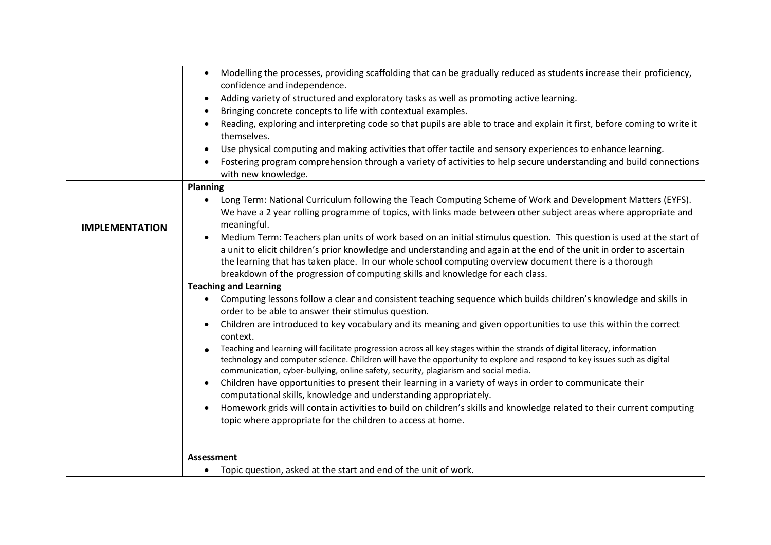|                       | Modelling the processes, providing scaffolding that can be gradually reduced as students increase their proficiency,<br>$\bullet$<br>confidence and independence.                                                                                                                                                                                                                                                                         |
|-----------------------|-------------------------------------------------------------------------------------------------------------------------------------------------------------------------------------------------------------------------------------------------------------------------------------------------------------------------------------------------------------------------------------------------------------------------------------------|
|                       | Adding variety of structured and exploratory tasks as well as promoting active learning.                                                                                                                                                                                                                                                                                                                                                  |
|                       | Bringing concrete concepts to life with contextual examples.                                                                                                                                                                                                                                                                                                                                                                              |
|                       | Reading, exploring and interpreting code so that pupils are able to trace and explain it first, before coming to write it<br>themselves.                                                                                                                                                                                                                                                                                                  |
|                       | Use physical computing and making activities that offer tactile and sensory experiences to enhance learning.                                                                                                                                                                                                                                                                                                                              |
|                       | Fostering program comprehension through a variety of activities to help secure understanding and build connections<br>with new knowledge.                                                                                                                                                                                                                                                                                                 |
|                       | Planning                                                                                                                                                                                                                                                                                                                                                                                                                                  |
| <b>IMPLEMENTATION</b> | Long Term: National Curriculum following the Teach Computing Scheme of Work and Development Matters (EYFS).<br>We have a 2 year rolling programme of topics, with links made between other subject areas where appropriate and<br>meaningful.                                                                                                                                                                                             |
|                       | Medium Term: Teachers plan units of work based on an initial stimulus question. This question is used at the start of<br>a unit to elicit children's prior knowledge and understanding and again at the end of the unit in order to ascertain<br>the learning that has taken place. In our whole school computing overview document there is a thorough<br>breakdown of the progression of computing skills and knowledge for each class. |
|                       | <b>Teaching and Learning</b>                                                                                                                                                                                                                                                                                                                                                                                                              |
|                       | Computing lessons follow a clear and consistent teaching sequence which builds children's knowledge and skills in<br>$\bullet$<br>order to be able to answer their stimulus question.                                                                                                                                                                                                                                                     |
|                       | Children are introduced to key vocabulary and its meaning and given opportunities to use this within the correct<br>context.                                                                                                                                                                                                                                                                                                              |
|                       | Teaching and learning will facilitate progression across all key stages within the strands of digital literacy, information<br>technology and computer science. Children will have the opportunity to explore and respond to key issues such as digital<br>communication, cyber-bullying, online safety, security, plagiarism and social media.                                                                                           |
|                       | Children have opportunities to present their learning in a variety of ways in order to communicate their<br>computational skills, knowledge and understanding appropriately.                                                                                                                                                                                                                                                              |
|                       | Homework grids will contain activities to build on children's skills and knowledge related to their current computing<br>topic where appropriate for the children to access at home.                                                                                                                                                                                                                                                      |
|                       |                                                                                                                                                                                                                                                                                                                                                                                                                                           |
|                       | <b>Assessment</b><br>Topic question, asked at the start and end of the unit of work.                                                                                                                                                                                                                                                                                                                                                      |
|                       |                                                                                                                                                                                                                                                                                                                                                                                                                                           |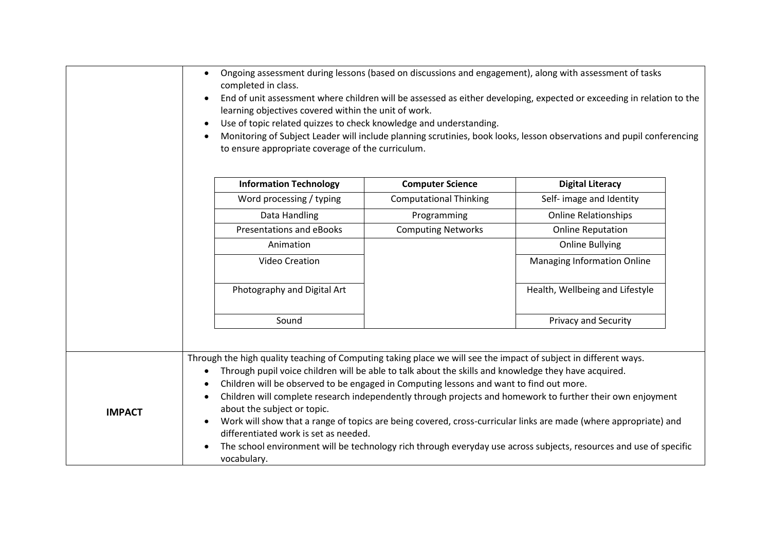|               | completed in class.<br>learning objectives covered within the unit of work.<br>Use of topic related quizzes to check knowledge and understanding.<br>$\bullet$<br>to ensure appropriate coverage of the curriculum.                                                                                                                                                                                        |                               | Ongoing assessment during lessons (based on discussions and engagement), along with assessment of tasks<br>End of unit assessment where children will be assessed as either developing, expected or exceeding in relation to the<br>Monitoring of Subject Leader will include planning scrutinies, book looks, lesson observations and pupil conferencing |
|---------------|------------------------------------------------------------------------------------------------------------------------------------------------------------------------------------------------------------------------------------------------------------------------------------------------------------------------------------------------------------------------------------------------------------|-------------------------------|-----------------------------------------------------------------------------------------------------------------------------------------------------------------------------------------------------------------------------------------------------------------------------------------------------------------------------------------------------------|
|               | <b>Information Technology</b>                                                                                                                                                                                                                                                                                                                                                                              | <b>Computer Science</b>       | <b>Digital Literacy</b>                                                                                                                                                                                                                                                                                                                                   |
|               | Word processing / typing                                                                                                                                                                                                                                                                                                                                                                                   | <b>Computational Thinking</b> | Self- image and Identity                                                                                                                                                                                                                                                                                                                                  |
|               | Data Handling                                                                                                                                                                                                                                                                                                                                                                                              | Programming                   | <b>Online Relationships</b>                                                                                                                                                                                                                                                                                                                               |
|               | <b>Presentations and eBooks</b>                                                                                                                                                                                                                                                                                                                                                                            | <b>Computing Networks</b>     | <b>Online Reputation</b>                                                                                                                                                                                                                                                                                                                                  |
|               | Animation                                                                                                                                                                                                                                                                                                                                                                                                  |                               | <b>Online Bullying</b>                                                                                                                                                                                                                                                                                                                                    |
|               | Video Creation                                                                                                                                                                                                                                                                                                                                                                                             |                               | <b>Managing Information Online</b>                                                                                                                                                                                                                                                                                                                        |
|               | Photography and Digital Art                                                                                                                                                                                                                                                                                                                                                                                |                               | Health, Wellbeing and Lifestyle                                                                                                                                                                                                                                                                                                                           |
|               | Sound                                                                                                                                                                                                                                                                                                                                                                                                      |                               | Privacy and Security                                                                                                                                                                                                                                                                                                                                      |
|               |                                                                                                                                                                                                                                                                                                                                                                                                            |                               |                                                                                                                                                                                                                                                                                                                                                           |
| <b>IMPACT</b> | Through the high quality teaching of Computing taking place we will see the impact of subject in different ways.<br>Through pupil voice children will be able to talk about the skills and knowledge they have acquired.<br>Children will be observed to be engaged in Computing lessons and want to find out more.<br>about the subject or topic.<br>differentiated work is set as needed.<br>vocabulary. |                               | Children will complete research independently through projects and homework to further their own enjoyment<br>Work will show that a range of topics are being covered, cross-curricular links are made (where appropriate) and<br>The school environment will be technology rich through everyday use across subjects, resources and use of specific      |